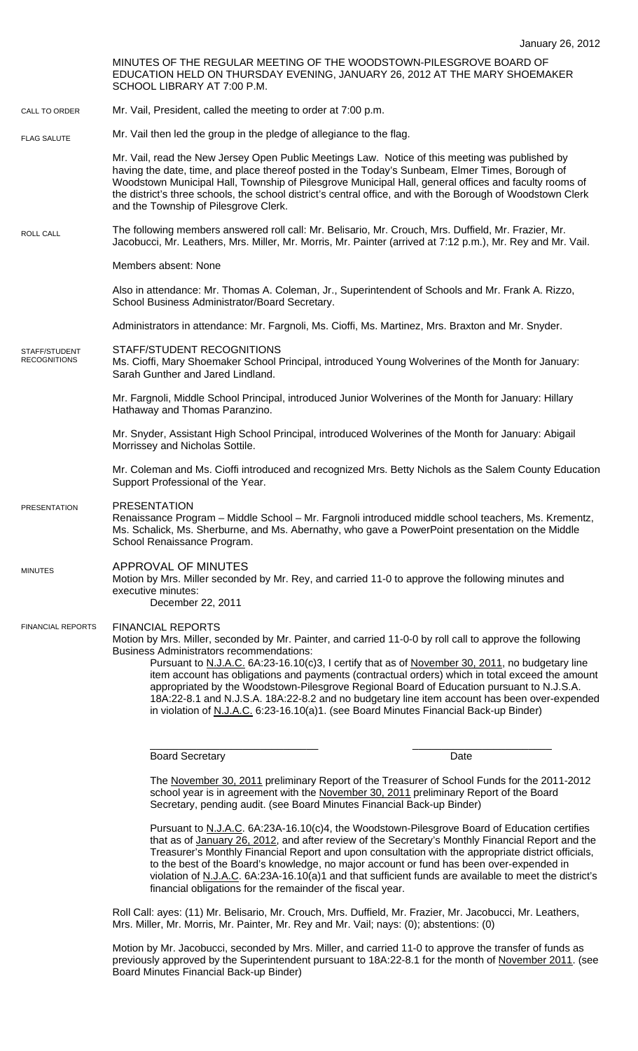MINUTES OF THE REGULAR MEETING OF THE WOODSTOWN-PILESGROVE BOARD OF EDUCATION HELD ON THURSDAY EVENING, JANUARY 26, 2012 AT THE MARY SHOEMAKER SCHOOL LIBRARY AT 7:00 P.M. Mr. Vail, President, called the meeting to order at 7:00 p.m. Mr. Vail then led the group in the pledge of allegiance to the flag. Mr. Vail, read the New Jersey Open Public Meetings Law. Notice of this meeting was published by having the date, time, and place thereof posted in the Today's Sunbeam, Elmer Times, Borough of Woodstown Municipal Hall, Township of Pilesgrove Municipal Hall, general offices and faculty rooms of the district's three schools, the school district's central office, and with the Borough of Woodstown Clerk and the Township of Pilesgrove Clerk. The following members answered roll call: Mr. Belisario, Mr. Crouch, Mrs. Duffield, Mr. Frazier, Mr. Jacobucci, Mr. Leathers, Mrs. Miller, Mr. Morris, Mr. Painter (arrived at 7:12 p.m.), Mr. Rey and Mr. Vail. Members absent: None Also in attendance: Mr. Thomas A. Coleman, Jr., Superintendent of Schools and Mr. Frank A. Rizzo, School Business Administrator/Board Secretary. Administrators in attendance: Mr. Fargnoli, Ms. Cioffi, Ms. Martinez, Mrs. Braxton and Mr. Snyder. STAFF/STUDENT RECOGNITIONS Ms. Cioffi, Mary Shoemaker School Principal, introduced Young Wolverines of the Month for January: Sarah Gunther and Jared Lindland. Mr. Fargnoli, Middle School Principal, introduced Junior Wolverines of the Month for January: Hillary Hathaway and Thomas Paranzino. Mr. Snyder, Assistant High School Principal, introduced Wolverines of the Month for January: Abigail Morrissey and Nicholas Sottile. Mr. Coleman and Ms. Cioffi introduced and recognized Mrs. Betty Nichols as the Salem County Education Support Professional of the Year. PRESENTATION Renaissance Program – Middle School – Mr. Fargnoli introduced middle school teachers, Ms. Krementz, Ms. Schalick, Ms. Sherburne, and Ms. Abernathy, who gave a PowerPoint presentation on the Middle School Renaissance Program. APPROVAL OF MINUTES Motion by Mrs. Miller seconded by Mr. Rey, and carried 11-0 to approve the following minutes and executive minutes: December 22, 2011 FINANCIAL REPORTS Motion by Mrs. Miller, seconded by Mr. Painter, and carried 11-0-0 by roll call to approve the following Business Administrators recommendations: Pursuant to N.J.A.C. 6A:23-16.10(c)3, I certify that as of November 30, 2011, no budgetary line item account has obligations and payments (contractual orders) which in total exceed the amount appropriated by the Woodstown-Pilesgrove Regional Board of Education pursuant to N.J.S.A. 18A:22-8.1 and N.J.S.A. 18A:22-8.2 and no budgetary line item account has been over-expended in violation of N.J.A.C. 6:23-16.10(a)1. (see Board Minutes Financial Back-up Binder) \_\_\_\_\_\_\_\_\_\_\_\_\_\_\_\_\_\_\_\_\_\_\_\_\_\_\_\_\_ \_\_\_\_\_\_\_\_\_\_\_\_\_\_\_\_\_\_\_\_\_\_\_\_ Board Secretary **Date** The November 30, 2011 preliminary Report of the Treasurer of School Funds for the 2011-2012 school year is in agreement with the November 30, 2011 preliminary Report of the Board Secretary, pending audit. (see Board Minutes Financial Back-up Binder) CALL TO ORDER ROLL CALL FLAG SALUTE MINUTES FINANCIAL REPORTS STAFF/STUDENT **RECOGNITIONS** PRESENTATION

> Pursuant to N.J.A.C. 6A:23A-16.10(c)4, the Woodstown-Pilesgrove Board of Education certifies that as of January 26, 2012, and after review of the Secretary's Monthly Financial Report and the Treasurer's Monthly Financial Report and upon consultation with the appropriate district officials, to the best of the Board's knowledge, no major account or fund has been over-expended in violation of N.J.A.C. 6A:23A-16.10(a)1 and that sufficient funds are available to meet the district's financial obligations for the remainder of the fiscal year.

Roll Call: ayes: (11) Mr. Belisario, Mr. Crouch, Mrs. Duffield, Mr. Frazier, Mr. Jacobucci, Mr. Leathers, Mrs. Miller, Mr. Morris, Mr. Painter, Mr. Rey and Mr. Vail; nays: (0); abstentions: (0)

Motion by Mr. Jacobucci, seconded by Mrs. Miller, and carried 11-0 to approve the transfer of funds as previously approved by the Superintendent pursuant to 18A:22-8.1 for the month of November 2011. (see Board Minutes Financial Back-up Binder)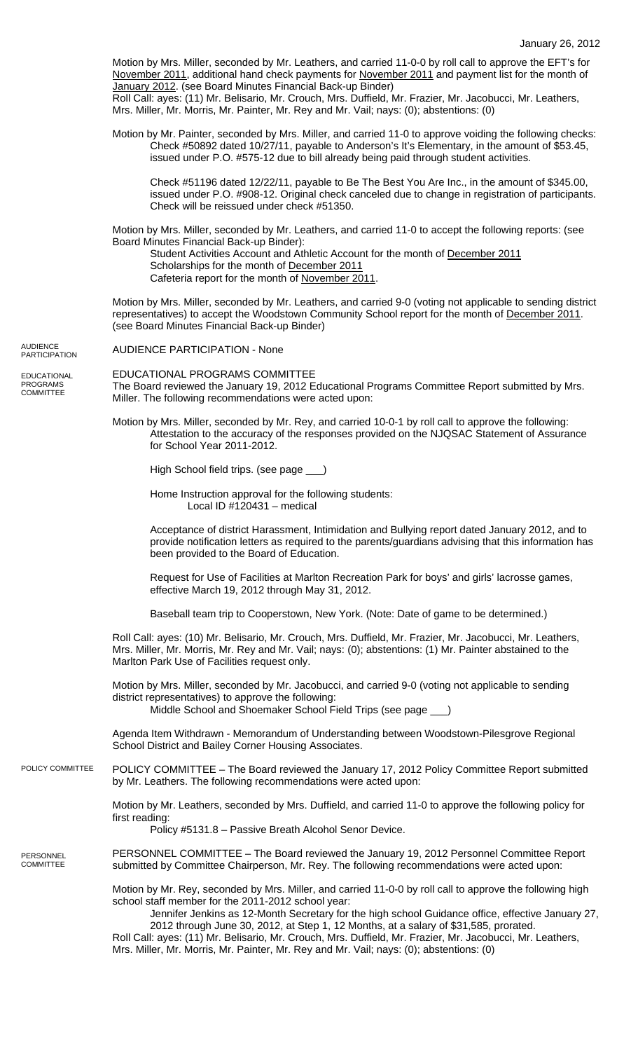Motion by Mrs. Miller, seconded by Mr. Leathers, and carried 11-0-0 by roll call to approve the EFT's for November 2011, additional hand check payments for November 2011 and payment list for the month of January 2012. (see Board Minutes Financial Back-up Binder) Roll Call: ayes: (11) Mr. Belisario, Mr. Crouch, Mrs. Duffield, Mr. Frazier, Mr. Jacobucci, Mr. Leathers, Mrs. Miller, Mr. Morris, Mr. Painter, Mr. Rey and Mr. Vail; nays: (0); abstentions: (0) Motion by Mr. Painter, seconded by Mrs. Miller, and carried 11-0 to approve voiding the following checks: Check #50892 dated 10/27/11, payable to Anderson's It's Elementary, in the amount of \$53.45, issued under P.O. #575-12 due to bill already being paid through student activities. Check #51196 dated 12/22/11, payable to Be The Best You Are Inc., in the amount of \$345.00, issued under P.O. #908-12. Original check canceled due to change in registration of participants. Check will be reissued under check #51350. Motion by Mrs. Miller, seconded by Mr. Leathers, and carried 11-0 to accept the following reports: (see Board Minutes Financial Back-up Binder): Student Activities Account and Athletic Account for the month of December 2011 Scholarships for the month of December 2011 Cafeteria report for the month of November 2011. Motion by Mrs. Miller, seconded by Mr. Leathers, and carried 9-0 (voting not applicable to sending district representatives) to accept the Woodstown Community School report for the month of December 2011. (see Board Minutes Financial Back-up Binder) AUDIENCE PARTICIPATION - None EDUCATIONAL PROGRAMS COMMITTEE The Board reviewed the January 19, 2012 Educational Programs Committee Report submitted by Mrs. Miller. The following recommendations were acted upon: Motion by Mrs. Miller, seconded by Mr. Rey, and carried 10-0-1 by roll call to approve the following: Attestation to the accuracy of the responses provided on the NJQSAC Statement of Assurance for School Year 2011-2012. High School field trips. (see page \_\_\_) Home Instruction approval for the following students: Local ID #120431 – medical Acceptance of district Harassment, Intimidation and Bullying report dated January 2012, and to provide notification letters as required to the parents/guardians advising that this information has been provided to the Board of Education. Request for Use of Facilities at Marlton Recreation Park for boys' and girls' lacrosse games, effective March 19, 2012 through May 31, 2012. Baseball team trip to Cooperstown, New York. (Note: Date of game to be determined.) Roll Call: ayes: (10) Mr. Belisario, Mr. Crouch, Mrs. Duffield, Mr. Frazier, Mr. Jacobucci, Mr. Leathers, Mrs. Miller, Mr. Morris, Mr. Rey and Mr. Vail; nays: (0); abstentions: (1) Mr. Painter abstained to the Marlton Park Use of Facilities request only. Motion by Mrs. Miller, seconded by Mr. Jacobucci, and carried 9-0 (voting not applicable to sending district representatives) to approve the following: Middle School and Shoemaker School Field Trips (see page \_\_\_) Agenda Item Withdrawn - Memorandum of Understanding between Woodstown-Pilesgrove Regional School District and Bailey Corner Housing Associates. POLICY COMMITTEE – The Board reviewed the January 17, 2012 Policy Committee Report submitted by Mr. Leathers. The following recommendations were acted upon: Motion by Mr. Leathers, seconded by Mrs. Duffield, and carried 11-0 to approve the following policy for first reading: Policy #5131.8 – Passive Breath Alcohol Senor Device. PERSONNEL COMMITTEE – The Board reviewed the January 19, 2012 Personnel Committee Report submitted by Committee Chairperson, Mr. Rey. The following recommendations were acted upon: Motion by Mr. Rey, seconded by Mrs. Miller, and carried 11-0-0 by roll call to approve the following high school staff member for the 2011-2012 school year: Jennifer Jenkins as 12-Month Secretary for the high school Guidance office, effective January 27, 2012 through June 30, 2012, at Step 1, 12 Months, at a salary of \$31,585, prorated. PARTICIPATION POLICY COMMITTEE EDUCATIONAL

**AUDIENCE** 

PROGRAMS COMMITTEE

PERSONNEL **COMMITTEE** 

> Roll Call: ayes: (11) Mr. Belisario, Mr. Crouch, Mrs. Duffield, Mr. Frazier, Mr. Jacobucci, Mr. Leathers, Mrs. Miller, Mr. Morris, Mr. Painter, Mr. Rey and Mr. Vail; nays: (0); abstentions: (0)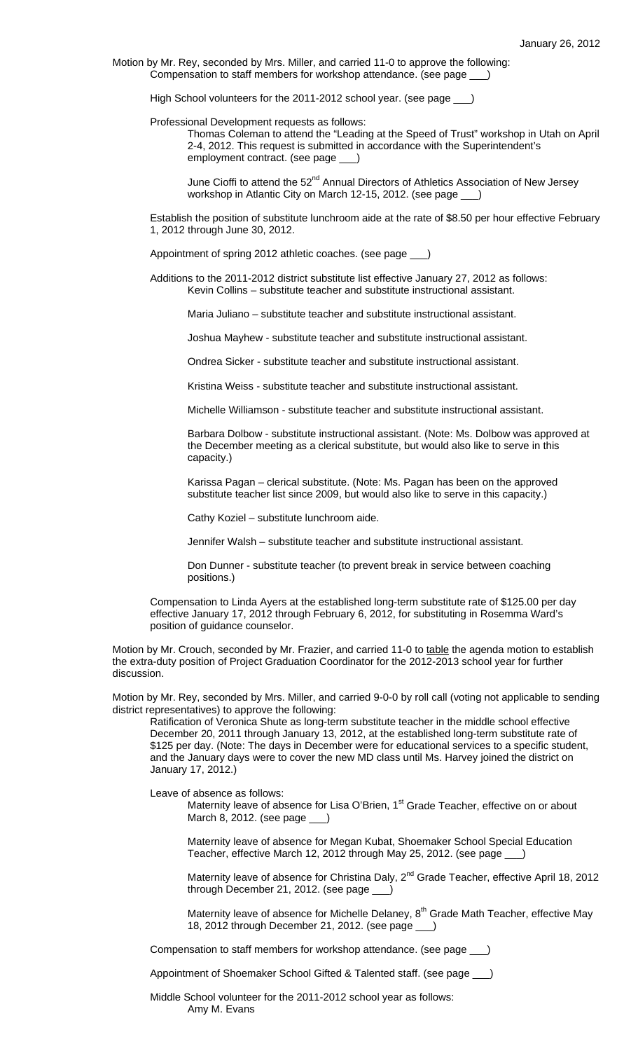Motion by Mr. Rey, seconded by Mrs. Miller, and carried 11-0 to approve the following: Compensation to staff members for workshop attendance. (see page \_\_\_)

High School volunteers for the 2011-2012 school year. (see page \_\_\_)

Professional Development requests as follows:

Thomas Coleman to attend the "Leading at the Speed of Trust" workshop in Utah on April 2-4, 2012. This request is submitted in accordance with the Superintendent's employment contract. (see page \_\_\_)

June Cioffi to attend the 52<sup>nd</sup> Annual Directors of Athletics Association of New Jersey workshop in Atlantic City on March 12-15, 2012. (see page \_

Establish the position of substitute lunchroom aide at the rate of \$8.50 per hour effective February 1, 2012 through June 30, 2012.

Appointment of spring 2012 athletic coaches. (see page \_\_\_)

Additions to the 2011-2012 district substitute list effective January 27, 2012 as follows: Kevin Collins – substitute teacher and substitute instructional assistant.

Maria Juliano – substitute teacher and substitute instructional assistant.

Joshua Mayhew - substitute teacher and substitute instructional assistant.

Ondrea Sicker - substitute teacher and substitute instructional assistant.

Kristina Weiss - substitute teacher and substitute instructional assistant.

Michelle Williamson - substitute teacher and substitute instructional assistant.

Barbara Dolbow - substitute instructional assistant. (Note: Ms. Dolbow was approved at the December meeting as a clerical substitute, but would also like to serve in this capacity.)

Karissa Pagan – clerical substitute. (Note: Ms. Pagan has been on the approved substitute teacher list since 2009, but would also like to serve in this capacity.)

Cathy Koziel – substitute lunchroom aide.

Jennifer Walsh – substitute teacher and substitute instructional assistant.

Don Dunner - substitute teacher (to prevent break in service between coaching positions.)

Compensation to Linda Ayers at the established long-term substitute rate of \$125.00 per day effective January 17, 2012 through February 6, 2012, for substituting in Rosemma Ward's position of guidance counselor.

Motion by Mr. Crouch, seconded by Mr. Frazier, and carried 11-0 to table the agenda motion to establish the extra-duty position of Project Graduation Coordinator for the 2012-2013 school year for further discussion.

Motion by Mr. Rey, seconded by Mrs. Miller, and carried 9-0-0 by roll call (voting not applicable to sending district representatives) to approve the following:

Ratification of Veronica Shute as long-term substitute teacher in the middle school effective December 20, 2011 through January 13, 2012, at the established long-term substitute rate of \$125 per day. (Note: The days in December were for educational services to a specific student, and the January days were to cover the new MD class until Ms. Harvey joined the district on January 17, 2012.)

Leave of absence as follows:

Maternity leave of absence for Lisa O'Brien, 1<sup>st</sup> Grade Teacher, effective on or about March 8, 2012. (see page \_\_\_)

Maternity leave of absence for Megan Kubat, Shoemaker School Special Education Teacher, effective March 12, 2012 through May 25, 2012. (see page \_\_\_)

Maternity leave of absence for Christina Daly, 2<sup>nd</sup> Grade Teacher, effective April 18, 2012 through December 21, 2012. (see page \_\_\_)

Maternity leave of absence for Michelle Delaney,  $8<sup>th</sup>$  Grade Math Teacher, effective May 18, 2012 through December 21, 2012. (see page \_\_\_)

Compensation to staff members for workshop attendance. (see page \_\_\_)

Appointment of Shoemaker School Gifted & Talented staff. (see page \_\_\_)

 Middle School volunteer for the 2011-2012 school year as follows: Amy M. Evans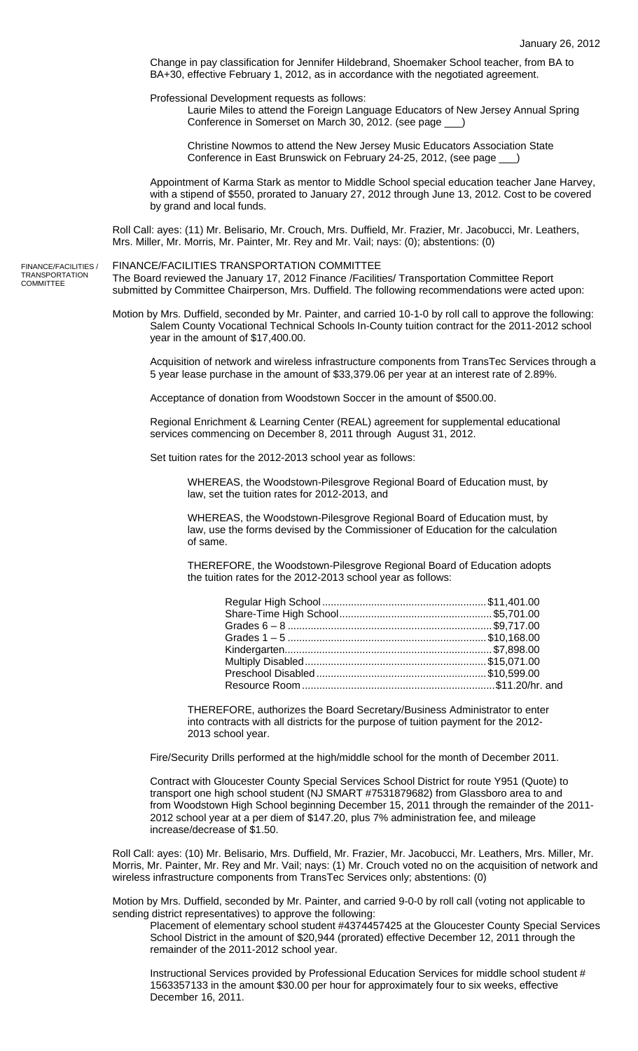Change in pay classification for Jennifer Hildebrand, Shoemaker School teacher, from BA to BA+30, effective February 1, 2012, as in accordance with the negotiated agreement.

Professional Development requests as follows:

Laurie Miles to attend the Foreign Language Educators of New Jersey Annual Spring Conference in Somerset on March 30, 2012. (see page

Christine Nowmos to attend the New Jersey Music Educators Association State Conference in East Brunswick on February 24-25, 2012, (see page \_\_\_)

Appointment of Karma Stark as mentor to Middle School special education teacher Jane Harvey, with a stipend of \$550, prorated to January 27, 2012 through June 13, 2012. Cost to be covered by grand and local funds.

Roll Call: ayes: (11) Mr. Belisario, Mr. Crouch, Mrs. Duffield, Mr. Frazier, Mr. Jacobucci, Mr. Leathers, Mrs. Miller, Mr. Morris, Mr. Painter, Mr. Rey and Mr. Vail; nays: (0); abstentions: (0)

FINANCE/FACILITIES TRANSPORTATION COMMITTEE

The Board reviewed the January 17, 2012 Finance /Facilities/ Transportation Committee Report submitted by Committee Chairperson, Mrs. Duffield. The following recommendations were acted upon:

Motion by Mrs. Duffield, seconded by Mr. Painter, and carried 10-1-0 by roll call to approve the following: Salem County Vocational Technical Schools In-County tuition contract for the 2011-2012 school year in the amount of \$17,400.00.

Acquisition of network and wireless infrastructure components from TransTec Services through a 5 year lease purchase in the amount of \$33,379.06 per year at an interest rate of 2.89%.

Acceptance of donation from Woodstown Soccer in the amount of \$500.00.

Regional Enrichment & Learning Center (REAL) agreement for supplemental educational services commencing on December 8, 2011 through August 31, 2012.

Set tuition rates for the 2012-2013 school year as follows:

WHEREAS, the Woodstown-Pilesgrove Regional Board of Education must, by law, set the tuition rates for 2012-2013, and

WHEREAS, the Woodstown-Pilesgrove Regional Board of Education must, by law, use the forms devised by the Commissioner of Education for the calculation of same.

THEREFORE, the Woodstown-Pilesgrove Regional Board of Education adopts the tuition rates for the 2012-2013 school year as follows:

THEREFORE, authorizes the Board Secretary/Business Administrator to enter into contracts with all districts for the purpose of tuition payment for the 2012- 2013 school year.

Fire/Security Drills performed at the high/middle school for the month of December 2011.

Contract with Gloucester County Special Services School District for route Y951 (Quote) to transport one high school student (NJ SMART #7531879682) from Glassboro area to and from Woodstown High School beginning December 15, 2011 through the remainder of the 2011- 2012 school year at a per diem of \$147.20, plus 7% administration fee, and mileage increase/decrease of \$1.50.

Roll Call: ayes: (10) Mr. Belisario, Mrs. Duffield, Mr. Frazier, Mr. Jacobucci, Mr. Leathers, Mrs. Miller, Mr. Morris, Mr. Painter, Mr. Rey and Mr. Vail; nays: (1) Mr. Crouch voted no on the acquisition of network and wireless infrastructure components from TransTec Services only; abstentions: (0)

Motion by Mrs. Duffield, seconded by Mr. Painter, and carried 9-0-0 by roll call (voting not applicable to sending district representatives) to approve the following:

Placement of elementary school student #4374457425 at the Gloucester County Special Services School District in the amount of \$20,944 (prorated) effective December 12, 2011 through the remainder of the 2011-2012 school year.

Instructional Services provided by Professional Education Services for middle school student # 1563357133 in the amount \$30.00 per hour for approximately four to six weeks, effective December 16, 2011.

FINANCE/FACILITIES / TRANSPORTATION **COMMITTEE**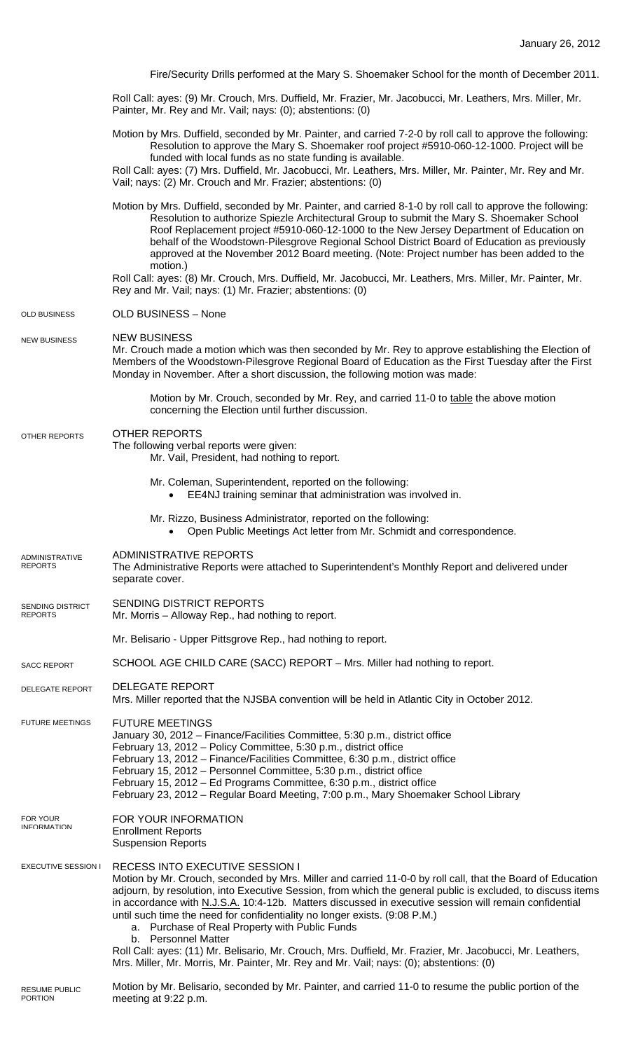|                                    | Fire/Security Drills performed at the Mary S. Shoemaker School for the month of December 2011.                                                                                                                                                                                                                                                                                                                                                                                                                                                                                                                                                                                                                                       |
|------------------------------------|--------------------------------------------------------------------------------------------------------------------------------------------------------------------------------------------------------------------------------------------------------------------------------------------------------------------------------------------------------------------------------------------------------------------------------------------------------------------------------------------------------------------------------------------------------------------------------------------------------------------------------------------------------------------------------------------------------------------------------------|
|                                    | Roll Call: ayes: (9) Mr. Crouch, Mrs. Duffield, Mr. Frazier, Mr. Jacobucci, Mr. Leathers, Mrs. Miller, Mr.<br>Painter, Mr. Rey and Mr. Vail; nays: (0); abstentions: (0)                                                                                                                                                                                                                                                                                                                                                                                                                                                                                                                                                             |
|                                    | Motion by Mrs. Duffield, seconded by Mr. Painter, and carried 7-2-0 by roll call to approve the following:<br>Resolution to approve the Mary S. Shoemaker roof project #5910-060-12-1000. Project will be<br>funded with local funds as no state funding is available.<br>Roll Call: ayes: (7) Mrs. Duffield, Mr. Jacobucci, Mr. Leathers, Mrs. Miller, Mr. Painter, Mr. Rey and Mr.<br>Vail; nays: (2) Mr. Crouch and Mr. Frazier; abstentions: (0)                                                                                                                                                                                                                                                                                 |
|                                    | Motion by Mrs. Duffield, seconded by Mr. Painter, and carried 8-1-0 by roll call to approve the following:<br>Resolution to authorize Spiezle Architectural Group to submit the Mary S. Shoemaker School<br>Roof Replacement project #5910-060-12-1000 to the New Jersey Department of Education on<br>behalf of the Woodstown-Pilesgrove Regional School District Board of Education as previously<br>approved at the November 2012 Board meeting. (Note: Project number has been added to the<br>motion.)<br>Roll Call: ayes: (8) Mr. Crouch, Mrs. Duffield, Mr. Jacobucci, Mr. Leathers, Mrs. Miller, Mr. Painter, Mr.                                                                                                            |
|                                    | Rey and Mr. Vail; nays: (1) Mr. Frazier; abstentions: (0)                                                                                                                                                                                                                                                                                                                                                                                                                                                                                                                                                                                                                                                                            |
| OLD BUSINESS                       | <b>OLD BUSINESS - None</b>                                                                                                                                                                                                                                                                                                                                                                                                                                                                                                                                                                                                                                                                                                           |
| <b>NEW BUSINESS</b>                | <b>NEW BUSINESS</b><br>Mr. Crouch made a motion which was then seconded by Mr. Rey to approve establishing the Election of<br>Members of the Woodstown-Pilesgrove Regional Board of Education as the First Tuesday after the First<br>Monday in November. After a short discussion, the following motion was made:                                                                                                                                                                                                                                                                                                                                                                                                                   |
|                                    | Motion by Mr. Crouch, seconded by Mr. Rey, and carried 11-0 to table the above motion<br>concerning the Election until further discussion.                                                                                                                                                                                                                                                                                                                                                                                                                                                                                                                                                                                           |
| OTHER REPORTS                      | <b>OTHER REPORTS</b><br>The following verbal reports were given:<br>Mr. Vail, President, had nothing to report.                                                                                                                                                                                                                                                                                                                                                                                                                                                                                                                                                                                                                      |
|                                    | Mr. Coleman, Superintendent, reported on the following:<br>EE4NJ training seminar that administration was involved in.<br>$\bullet$                                                                                                                                                                                                                                                                                                                                                                                                                                                                                                                                                                                                  |
|                                    | Mr. Rizzo, Business Administrator, reported on the following:<br>Open Public Meetings Act letter from Mr. Schmidt and correspondence.<br>$\bullet$                                                                                                                                                                                                                                                                                                                                                                                                                                                                                                                                                                                   |
| ADMINISTRATIVE<br><b>REPORTS</b>   | <b>ADMINISTRATIVE REPORTS</b><br>The Administrative Reports were attached to Superintendent's Monthly Report and delivered under<br>separate cover.                                                                                                                                                                                                                                                                                                                                                                                                                                                                                                                                                                                  |
| SENDING DISTRICT<br><b>REPORTS</b> | SENDING DISTRICT REPORTS<br>Mr. Morris - Alloway Rep., had nothing to report.                                                                                                                                                                                                                                                                                                                                                                                                                                                                                                                                                                                                                                                        |
|                                    | Mr. Belisario - Upper Pittsgrove Rep., had nothing to report.                                                                                                                                                                                                                                                                                                                                                                                                                                                                                                                                                                                                                                                                        |
| <b>SACC REPORT</b>                 | SCHOOL AGE CHILD CARE (SACC) REPORT - Mrs. Miller had nothing to report.                                                                                                                                                                                                                                                                                                                                                                                                                                                                                                                                                                                                                                                             |
| <b>DELEGATE REPORT</b>             | <b>DELEGATE REPORT</b><br>Mrs. Miller reported that the NJSBA convention will be held in Atlantic City in October 2012.                                                                                                                                                                                                                                                                                                                                                                                                                                                                                                                                                                                                              |
| <b>FUTURE MEETINGS</b>             | <b>FUTURE MEETINGS</b><br>January 30, 2012 - Finance/Facilities Committee, 5:30 p.m., district office<br>February 13, 2012 - Policy Committee, 5:30 p.m., district office<br>February 13, 2012 - Finance/Facilities Committee, 6:30 p.m., district office<br>February 15, 2012 - Personnel Committee, 5:30 p.m., district office<br>February 15, 2012 - Ed Programs Committee, 6:30 p.m., district office<br>February 23, 2012 - Regular Board Meeting, 7:00 p.m., Mary Shoemaker School Library                                                                                                                                                                                                                                     |
| FOR YOUR<br><b>INFORMATION</b>     | FOR YOUR INFORMATION<br><b>Enrollment Reports</b><br><b>Suspension Reports</b>                                                                                                                                                                                                                                                                                                                                                                                                                                                                                                                                                                                                                                                       |
| <b>EXECUTIVE SESSION I</b>         | RECESS INTO EXECUTIVE SESSION I<br>Motion by Mr. Crouch, seconded by Mrs. Miller and carried 11-0-0 by roll call, that the Board of Education<br>adjourn, by resolution, into Executive Session, from which the general public is excluded, to discuss items<br>in accordance with N.J.S.A. 10:4-12b. Matters discussed in executive session will remain confidential<br>until such time the need for confidentiality no longer exists. (9:08 P.M.)<br>a. Purchase of Real Property with Public Funds<br>b. Personnel Matter<br>Roll Call: ayes: (11) Mr. Belisario, Mr. Crouch, Mrs. Duffield, Mr. Frazier, Mr. Jacobucci, Mr. Leathers,<br>Mrs. Miller, Mr. Morris, Mr. Painter, Mr. Rey and Mr. Vail; nays: (0); abstentions: (0) |
|                                    |                                                                                                                                                                                                                                                                                                                                                                                                                                                                                                                                                                                                                                                                                                                                      |

Motion by Mr. Belisario, seconded by Mr. Painter, and carried 11-0 to resume the public portion of the meeting at 9:22 p.m. RESUME PUBLIC PORTION